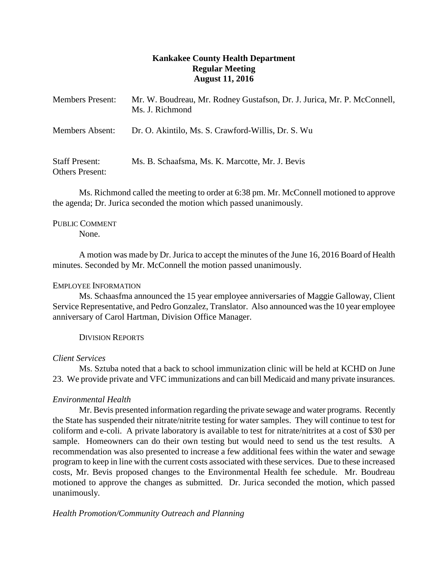## **Kankakee County Health Department Regular Meeting August 11, 2016**

| <b>Members Present:</b>                         | Mr. W. Boudreau, Mr. Rodney Gustafson, Dr. J. Jurica, Mr. P. McConnell,<br>Ms. J. Richmond |
|-------------------------------------------------|--------------------------------------------------------------------------------------------|
| Members Absent:                                 | Dr. O. Akintilo, Ms. S. Crawford-Willis, Dr. S. Wu                                         |
| <b>Staff Present:</b><br><b>Others Present:</b> | Ms. B. Schaafsma, Ms. K. Marcotte, Mr. J. Bevis                                            |

Ms. Richmond called the meeting to order at 6:38 pm. Mr. McConnell motioned to approve the agenda; Dr. Jurica seconded the motion which passed unanimously.

# PUBLIC COMMENT

None.

A motion was made by Dr. Jurica to accept the minutes of the June 16, 2016 Board of Health minutes. Seconded by Mr. McConnell the motion passed unanimously.

### EMPLOYEE INFORMATION

Ms. Schaasfma announced the 15 year employee anniversaries of Maggie Galloway, Client Service Representative, and Pedro Gonzalez, Translator. Also announced was the 10 year employee anniversary of Carol Hartman, Division Office Manager.

## DIVISION REPORTS

### *Client Services*

Ms. Sztuba noted that a back to school immunization clinic will be held at KCHD on June 23. We provide private and VFC immunizations and can bill Medicaid and many private insurances.

## *Environmental Health*

Mr. Bevis presented information regarding the private sewage and water programs. Recently the State has suspended their nitrate/nitrite testing for water samples. They will continue to test for coliform and e-coli. A private laboratory is available to test for nitrate/nitrites at a cost of \$30 per sample. Homeowners can do their own testing but would need to send us the test results. A recommendation was also presented to increase a few additional fees within the water and sewage program to keep in line with the current costs associated with these services. Due to these increased costs, Mr. Bevis proposed changes to the Environmental Health fee schedule. Mr. Boudreau motioned to approve the changes as submitted. Dr. Jurica seconded the motion, which passed unanimously.

*Health Promotion/Community Outreach and Planning*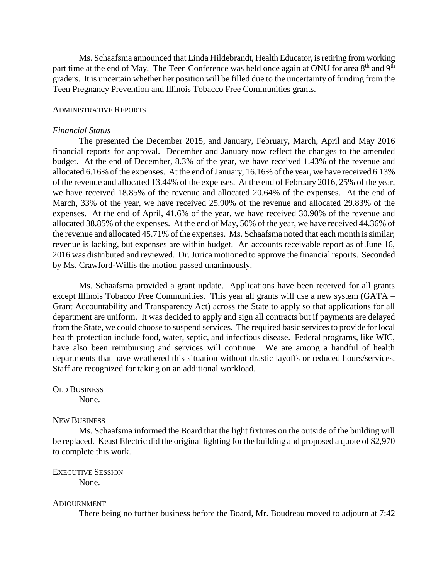Ms. Schaafsma announced that Linda Hildebrandt, Health Educator, is retiring from working part time at the end of May. The Teen Conference was held once again at ONU for area 8<sup>th</sup> and 9<sup>th</sup> graders. It is uncertain whether her position will be filled due to the uncertainty of funding from the Teen Pregnancy Prevention and Illinois Tobacco Free Communities grants.

#### ADMINISTRATIVE REPORTS

#### *Financial Status*

The presented the December 2015, and January, February, March, April and May 2016 financial reports for approval. December and January now reflect the changes to the amended budget. At the end of December, 8.3% of the year, we have received 1.43% of the revenue and allocated 6.16% of the expenses. At the end of January, 16.16% of the year, we have received 6.13% of the revenue and allocated 13.44% of the expenses. At the end of February 2016, 25% of the year, we have received 18.85% of the revenue and allocated 20.64% of the expenses. At the end of March, 33% of the year, we have received 25.90% of the revenue and allocated 29.83% of the expenses. At the end of April, 41.6% of the year, we have received 30.90% of the revenue and allocated 38.85% of the expenses. At the end of May, 50% of the year, we have received 44.36% of the revenue and allocated 45.71% of the expenses. Ms. Schaafsma noted that each month is similar; revenue is lacking, but expenses are within budget. An accounts receivable report as of June 16, 2016 was distributed and reviewed. Dr. Jurica motioned to approve the financial reports. Seconded by Ms. Crawford-Willis the motion passed unanimously.

Ms. Schaafsma provided a grant update. Applications have been received for all grants except Illinois Tobacco Free Communities. This year all grants will use a new system (GATA – Grant Accountability and Transparency Act) across the State to apply so that applications for all department are uniform. It was decided to apply and sign all contracts but if payments are delayed from the State, we could choose to suspend services. The required basic servicesto provide for local health protection include food, water, septic, and infectious disease. Federal programs, like WIC, have also been reimbursing and services will continue. We are among a handful of health departments that have weathered this situation without drastic layoffs or reduced hours/services. Staff are recognized for taking on an additional workload.

#### OLD BUSINESS

None.

#### NEW BUSINESS

Ms. Schaafsma informed the Board that the light fixtures on the outside of the building will be replaced. Keast Electric did the original lighting for the building and proposed a quote of \$2,970 to complete this work.

## EXECUTIVE SESSION

None.

#### ADJOURNMENT

There being no further business before the Board, Mr. Boudreau moved to adjourn at 7:42